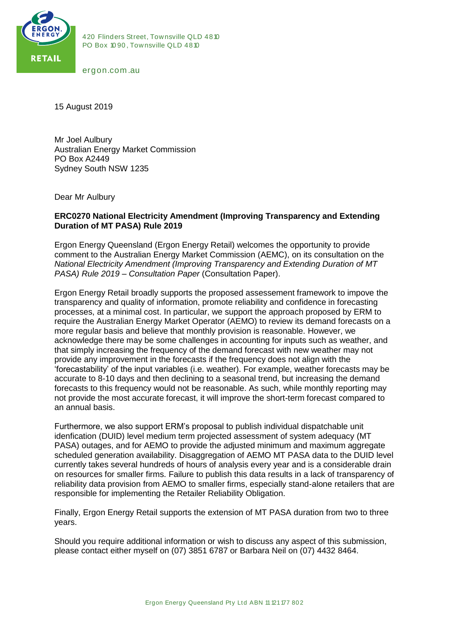

420 Flinders Street, Townsville QLD 4810<br>PO Box 1090, Townsville QLD 4810 420 Flinders Street, Townsville QLI<br>PO Box 1090, Townsville QLD 4810 420 Flinders Stre<br>PO Box 1090, Tov<br>ergon.com .au

15 August 2019

Mr Joel Aulbury Australian Energy Market Commission PO Box A2449 Sydney South NSW 1235

Dear Mr Aulbury

## **ERC0270 National Electricity Amendment (Improving Transparency and Extending Duration of MT PASA) Rule 2019**

Ergon Energy Queensland (Ergon Energy Retail) welcomes the opportunity to provide comment to the Australian Energy Market Commission (AEMC), on its consultation on the *National Electricity Amendment (Improving Transparency and Extending Duration of MT PASA) Rule 2019 – Consultation Paper* (Consultation Paper).

Ergon Energy Retail broadly supports the proposed assessement framework to impove the transparency and quality of information, promote reliability and confidence in forecasting processes, at a minimal cost. In particular, we support the approach proposed by ERM to require the Australian Energy Market Operator (AEMO) to review its demand forecasts on a more regular basis and believe that monthly provision is reasonable. However, we acknowledge there may be some challenges in accounting for inputs such as weather, and that simply increasing the frequency of the demand forecast with new weather may not provide any improvement in the forecasts if the frequency does not align with the 'forecastability' of the input variables (i.e. weather). For example, weather forecasts may be accurate to 8-10 days and then declining to a seasonal trend, but increasing the demand forecasts to this frequency would not be reasonable. As such, while monthly reporting may not provide the most accurate forecast, it will improve the short-term forecast compared to an annual basis.

Furthermore, we also support ERM's proposal to publish individual dispatchable unit idenfication (DUID) level medium term projected assessment of system adequacy (MT PASA) outages, and for AEMO to provide the adjusted minimum and maximum aggregate scheduled generation availability. Disaggregation of AEMO MT PASA data to the DUID level currently takes several hundreds of hours of analysis every year and is a considerable drain on resources for smaller firms. Failure to publish this data results in a lack of transparency of reliability data provision from AEMO to smaller firms, especially stand-alone retailers that are responsible for implementing the Retailer Reliability Obligation.

Finally, Ergon Energy Retail supports the extension of MT PASA duration from two to three years.

Should you require additional information or wish to discuss any aspect of this submission, please contact either myself on (07) 3851 6787 or Barbara Neil on (07) 4432 8464.